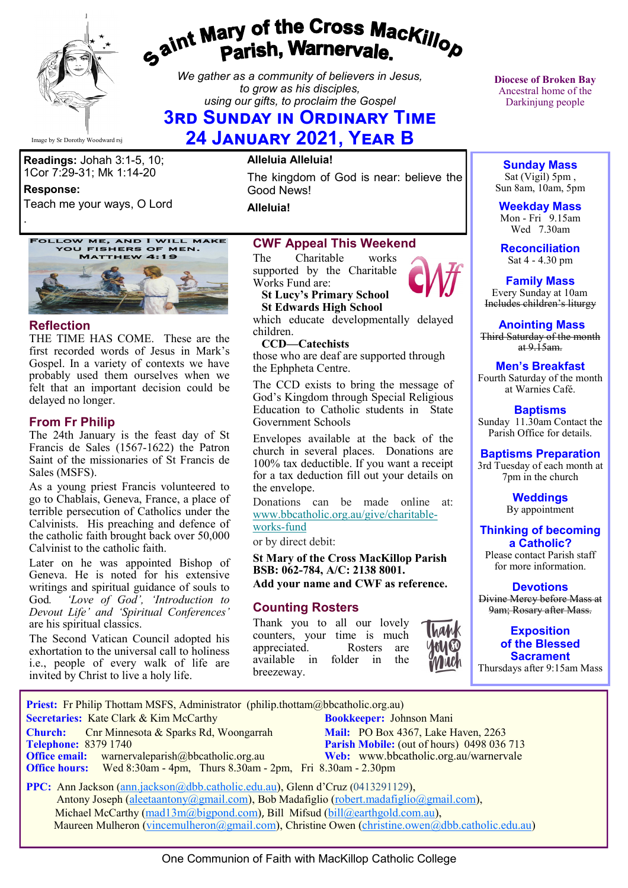

# gaint Mary of the Cross Mackillop<br>Parish, Warnervale.

*We gather as a community of believers in Jesus, to grow as his disciples, using our gifts, to proclaim the Gospel*

# **3rd Sunday in Ordinary Time**

**24 January 2021, Year B**

**Readings:** Johah 3:1-5, 10; 1Cor 7:29-31; Mk 1:14-20

**Response:** 

Teach me your ways, O Lord

FOLLOW ME, AND I WILL MAKE<br>YOU FISHERS OF MEN. **MATTHEW 4:19** 



#### **Reflection**

.

THE TIME HAS COME. These are the first recorded words of Jesus in Mark's Gospel. In a variety of contexts we have probably used them ourselves when we felt that an important decision could be delayed no longer.

#### **From Fr Philip**

The 24th January is the feast day of St Francis de Sales (1567-1622) the Patron Saint of the missionaries of St Francis de Sales (MSFS).

 As a young priest Francis volunteered to go to Chablais, Geneva, France, a place of terrible persecution of Catholics under the Calvinists. His preaching and defence of the catholic faith brought back over 50,000 Calvinist to the catholic faith.

Later on he was appointed Bishop of Geneva. He is noted for his extensive writings and spiritual guidance of souls to God*. 'Love of God', 'Introduction to Devout Life' and 'Spiritual Conferences'*  are his spiritual classics.

The Second Vatican Council adopted his exhortation to the universal call to holiness i.e., people of every walk of life are invited by Christ to live a holy life.

#### **Alleluia Alleluia!**

The kingdom of God is near: believe the Good News!

**Alleluia!**

#### **CWF Appeal This Weekend**

The Charitable works supported by the Charitable Works Fund are:

#### **St Lucy's Primary School St Edwards High School**

which educate developmentally delayed children.

 **CCD—Catechists** those who are deaf are supported through

the Ephpheta Centre.

The CCD exists to bring the message of God's Kingdom through Special Religious Education to Catholic students in State Government Schools

Envelopes available at the back of the church in several places. Donations are 100% tax deductible. If you want a receipt for a tax deduction fill out your details on the envelope.

Donations can be made online at: [www.bbcatholic.org.au/give/charitable](https://bbcatholic.us8.list-manage.com/track/click?u=466af249e088db70ab864d088&id=5a94d43080&e=e312df0f80)[works](https://bbcatholic.us8.list-manage.com/track/click?u=466af249e088db70ab864d088&id=5a94d43080&e=e312df0f80)-fund

or by direct debit:

**St Mary of the Cross MacKillop Parish BSB: 062-784, A/C: 2138 8001. Add your name and CWF as reference.**

#### **Counting Rosters**

Thank you to all our lovely counters, your time is much appreciated. Rosters are available in folder in the breezeway.



**Diocese of Broken Bay**  Ancestral home of the Darkinjung people

**Sunday Mass** Sat (Vigil) 5pm , Sun 8am, 10am, 5pm

**Weekday Mass** Mon - Fri  $9.15$ am Wed 7.30am

**Reconciliation** Sat 4 - 4.30 pm

**Family Mass**  Every Sunday at 10am Includes children's liturgy

**Anointing Mass** Third Saturday of the month

at  $9.15$ am.

# **Men's Breakfast**

Fourth Saturday of the month at Warnies Café.

**Baptisms** Sunday 11.30am Contact the Parish Office for details.

#### **Baptisms Preparation**

3rd Tuesday of each month at 7pm in the church

> **Weddings**  By appointment

**Thinking of becoming a Catholic?**

Please contact Parish staff for more information.

#### **Devotions**

Divine Mercy before Mass at 9am; Rosary after Mass.

**Exposition of the Blessed Sacrament** Thursdays after 9:15am Mass

**Church:** Cnr Minnesota & Sparks Rd, Woongarrah **Mail:** PO Box 4367, Lake Haven, 2263<br> **Telephone:** 8379 1740 **Parish Mobile:** (out of hours) 0498 036 **Parish Mobile:** (out of hours) 0498 036 713 **Office email:** warnervaleparish@bbcatholic.org.au **Web:** [www.bbcatholic.org.au/warnervale](https://www.bbcatholic.org.au/warnervale) **Office hours:** Wed 8:30am - 4pm, Thurs 8.30am - 2pm, Fri 8.30am - 2.30pm  **PPC:** Ann Jackson ([ann.jackson@dbb.catholic.edu.au\),](mailto:ann.jackson@dbb.catholic.edu.au) Glenn d'Cruz (0413291129), Antony Joseph ([aleetaantony@gmail.com\),](mailto:aleetaantony@gmail.com) Bob Madafiglio [\(robert.madafiglio@gmail.com\),](mailto:robert.madafiglio@gmail.com) Michael McCarthy ([mad13m@bigpond.com\)](mailto:mad13m@bigpond.com), Bill Mifsud ([bill@earthgold.com.au\),](mailto:bill@earthgold.com.au)

**Priest:** Fr Philip Thottam MSFS, Administrator (philip.thottam@bbcatholic.org.au)

 **Secretaries:** Kate Clark & Kim McCarthy **Bookkeeper:** Johnson Mani

Maureen Mulheron ([vincemulheron@gmail.com\)](mailto:vincemulheron@gmail.com), Christine Owen (christine.owen[@dbb.catholic.edu.au\)](mailto:ann.jackson@dbb.catholic.edu.au)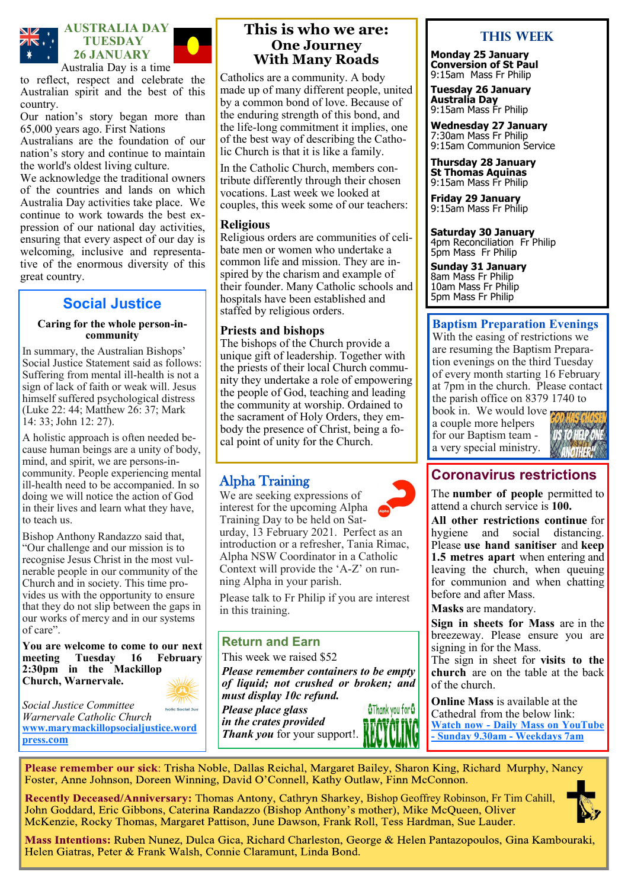

to reflect, respect and celebrate the Australian spirit and the best of this country.

Our nation's story began more than 65,000 years ago. First Nations

Australians are the foundation of our nation's story and continue to maintain the world's oldest living culture.

We acknowledge the traditional owners of the countries and lands on which Australia Day activities take place. We continue to work towards the best expression of our national day activities, ensuring that every aspect of our day is welcoming, inclusive and representative of the enormous diversity of this great country.

## **Social Justice**

#### **Caring for the whole person-incommunity**

In summary, the Australian Bishops' Social Justice Statement said as follows: Suffering from mental ill-health is not a sign of lack of faith or weak will. Jesus himself suffered psychological distress (Luke 22: 44; Matthew 26: 37; Mark 14: 33; John 12: 27).

A holistic approach is often needed because human beings are a unity of body, mind, and spirit, we are persons-incommunity. People experiencing mental ill-health need to be accompanied. In so doing we will notice the action of God in their lives and learn what they have, to teach us.

Bishop Anthony Randazzo said that, "Our challenge and our mission is to recognise Jesus Christ in the most vulnerable people in our community of the Church and in society. This time provides us with the opportunity to ensure that they do not slip between the gaps in our works of mercy and in our systems of care".

**You are welcome to come to our next meeting Tuesday 16 February 2:30pm in the Mackillop Church, Warnervale.** 

*Social Justice Committee*  holic Social Just *Warnervale Catholic Church*  **[www.marymackillopsocialjustice.word](http://www.marymackillopsocialjustice.wordpress.com) press[.com](http://www.marymackillopsocialjustice.wordpress.com)**

#### **This is who we are: One Journey With Many Roads**

Catholics are a community. A body made up of many different people, united by a common bond of love. Because of the enduring strength of this bond, and the life-long commitment it implies, one of the best way of describing the Catholic Church is that it is like a family.

In the Catholic Church, members contribute differently through their chosen vocations. Last week we looked at couples, this week some of our teachers:

#### **Religious**

Religious orders are communities of celibate men or women who undertake a common life and mission. They are inspired by the charism and example of their founder. Many Catholic schools and hospitals have been established and staffed by religious orders.

#### **Priests and bishops**

The bishops of the Church provide a unique gift of leadership. Together with the priests of their local Church community they undertake a role of empowering the people of God, teaching and leading the community at worship. Ordained to the sacrament of Holy Orders, they embody the presence of Christ, being a focal point of unity for the Church.

## Alpha Training

We are seeking expressions of interest for the upcoming Alpha Training Day to be held on Saturday, 13 February 2021. Perfect as an introduction or a refresher, Tania Rimac, Alpha NSW Coordinator in a Catholic Context will provide the 'A-Z' on running Alpha in your parish.

Please talk to Fr Philip if you are interest in this training.

#### **Return and Earn**

This week we raised \$52

*Please remember containers to be empty of liquid; not crushed or broken; and must display 10c refund.* 

*Please place glass in the crates provided Thank you* for your support!.



#### **This Week**

**Monday 25 January Conversion of St Paul** 9:15am Mass Fr Philip

**Tuesday 26 January Australia Day** 9:15am Mass Fr Philip

**Wednesday 27 January** 7:30am Mass Fr Philip 9:15am Communion Service

**Thursday 28 January St Thomas Aquinas** 9:15am Mass Fr Philip

**Friday 29 January**  9:15am Mass Fr Philip

**Saturday 30 January** 4pm Reconciliation Fr Philip 5pm Mass Fr Philip

**Sunday 31 January** 8am Mass Fr Philip 10am Mass Fr Philip 5pm Mass Fr Philip

#### **Baptism Preparation Evenings**

With the easing of restrictions we are resuming the Baptism Preparation evenings on the third Tuesday of every month starting 16 February at 7pm in the church. Please contact the parish office on 8379 1740 to

book in. We would love a couple more helpers for our Baptism team a very special ministry.



# **Coronavirus restrictions**

The **number of people** permitted to attend a church service is **100.**

**All other restrictions continue** for hygiene and social distancing. Please **use hand sanitiser** and **keep 1.5 metres apart** when entering and leaving the church, when queuing for communion and when chatting before and after Mass.

**Masks** are mandatory.

**Sign in sheets for Mass** are in the breezeway. Please ensure you are signing in for the Mass.

The sign in sheet for **visits to the church** are on the table at the back of the church.

**Online Mass** is available at the Cathedral from the below link: **Watch now - [Daily Mass on YouTube](https://www.youtube.com/channel/UCNenwlfI7i14XB9TsVBrLvQ/)  - [Sunday 9.30am](https://www.youtube.com/channel/UCNenwlfI7i14XB9TsVBrLvQ/) - Weekdays 7am**

Please remember our sick: Trisha Noble, Dallas Reichal, Margaret Bailey, Sharon King, Richard Murphy, Nancy Foster, Anne Johnson, Doreen Winning, David O'Connell, Kathy Outlaw, Finn McConnon.

Recently Deceased/Anniversary: Thomas Antony, Cathryn Sharkey, Bishop Geoffrey Robinson, Fr Tim Cahill, John Goddard, Eric Gibbons, Caterina Randazzo (Bishop Anthony's mother), Mike McQueen, Oliver McKenzie, Rocky Thomas, Margaret Pattison, June Dawson, Frank Roll, Tess Hardman, Sue Lauder.



Mass Intentions: Ruben Nunez, Dulca Gica, Richard Charleston, George & Helen Pantazopoulos, Gina Kambouraki, Helen Giatras, Peter & Frank Walsh, Connie Claramunt, Linda Bond.

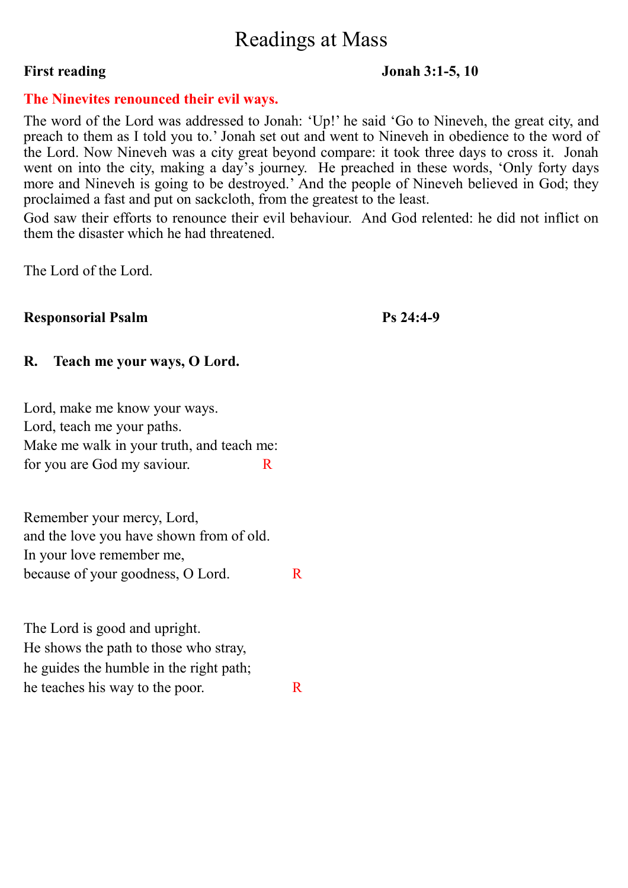# Readings at Mass

#### **First reading Jonah 3:1-5, 10**

#### **The Ninevites renounced their evil ways.**

The word of the Lord was addressed to Jonah: 'Up!' he said 'Go to Nineveh, the great city, and preach to them as I told you to.' Jonah set out and went to Nineveh in obedience to the word of the Lord. Now Nineveh was a city great beyond compare: it took three days to cross it. Jonah went on into the city, making a day's journey. He preached in these words, 'Only forty days more and Nineveh is going to be destroyed.' And the people of Nineveh believed in God; they proclaimed a fast and put on sackcloth, from the greatest to the least.

God saw their efforts to renounce their evil behaviour. And God relented: he did not inflict on them the disaster which he had threatened.

The Lord of the Lord.

## **Responsorial Psalm Ps 24:4-9**

## **R. Teach me your ways, O Lord.**

Lord, make me know your ways. Lord, teach me your paths. Make me walk in your truth, and teach me: for you are God my saviour.  $R$ 

Remember your mercy, Lord, and the love you have shown from of old. In your love remember me, because of your goodness, O Lord.

The Lord is good and upright. He shows the path to those who stray, he guides the humble in the right path; he teaches his way to the poor.  $R$